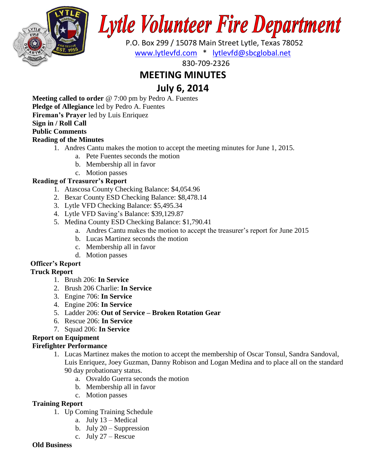

# **Lytle Volunteer Fire Department**

 P.O. Box 299 / 15078 Main Street Lytle, Texas 78052 [www.lytlevfd.com](http://www.lytlevfd.com/) \* [lytlevfd@sbcglobal.net](mailto:lytlevfd@sbcglobal.net)

830-709-2326

# **MEETING MINUTES**

# **July 6, 2014**

**Meeting called to order** @ 7:00 pm by Pedro A. Fuentes **Pledge of Allegiance** led by Pedro A. Fuentes **Fireman's Prayer** led by Luis Enriquez **Sign in / Roll Call Public Comments Reading of the Minutes**

- 1. Andres Cantu makes the motion to accept the meeting minutes for June 1, 2015.
	- a. Pete Fuentes seconds the motion
	- b. Membership all in favor
	- c. Motion passes

#### **Reading of Treasurer's Report**

- 1. Atascosa County Checking Balance: \$4,054.96
- 2. Bexar County ESD Checking Balance: \$8,478.14
- 3. Lytle VFD Checking Balance: \$5,495.34
- 4. Lytle VFD Saving's Balance: \$39,129.87
- 5. Medina County ESD Checking Balance: \$1,790.41
	- a. Andres Cantu makes the motion to accept the treasurer's report for June 2015
	- b. Lucas Martinez seconds the motion
	- c. Membership all in favor
	- d. Motion passes

## **Officer's Report**

### **Truck Report**

- 1. Brush 206: **In Service**
- 2. Brush 206 Charlie: **In Service**
- 3. Engine 706: **In Service**
- 4. Engine 206: **In Service**
- 5. Ladder 206: **Out of Service – Broken Rotation Gear**
- 6. Rescue 206: **In Service**
- 7. Squad 206: **In Service**

#### **Report on Equipment**

#### **Firefighter Performance**

- 1. Lucas Martinez makes the motion to accept the membership of Oscar Tonsul, Sandra Sandoval, Luis Enriquez, Joey Guzman, Danny Robison and Logan Medina and to place all on the standard 90 day probationary status.
	- a. Osvaldo Guerra seconds the motion
	- b. Membership all in favor
	- c. Motion passes

#### **Training Report**

- 1. Up Coming Training Schedule
	- a. July 13 Medical
	- b. July  $20 -$  Suppression
	- c. July 27 Rescue

#### **Old Business**